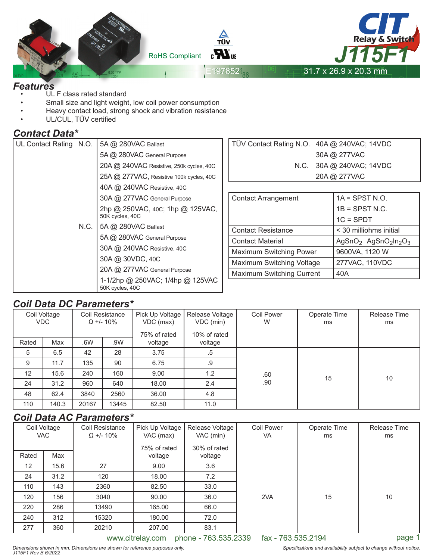

ſ

#### *Features*

- UL F class rated standard
- Small size and light weight, low coil power consumption
- Heavy contact load, strong shock and vibration resistance
- UL/CUL, TÜV certified

#### *Contact Data\**

| UL Contact Rating N.O. |      | 5A @ 280VAC Ballast                                 |  |  |  |
|------------------------|------|-----------------------------------------------------|--|--|--|
|                        |      | 5A @ 280VAC General Purpose                         |  |  |  |
|                        |      | 20A @ 240VAC Resistive, 250k cycles, 40C            |  |  |  |
|                        |      | 25A @ 277VAC, Resistive 100k cycles, 40C            |  |  |  |
|                        |      | 40A @ 240VAC Resistive, 40C                         |  |  |  |
|                        |      | 30A @ 277VAC General Purpose                        |  |  |  |
|                        |      | 2hp @ 250VAC, 40C; 1hp @ 125VAC,<br>50K cycles, 40C |  |  |  |
|                        | N.C. | 5A @ 280VAC Ballast                                 |  |  |  |
|                        |      | 5A @ 280VAC General Purpose                         |  |  |  |
|                        |      | 30A @ 240VAC Resistive, 40C                         |  |  |  |
|                        |      | 30A @ 30VDC, 40C                                    |  |  |  |
|                        |      | 20A @ 277VAC General Purpose                        |  |  |  |
|                        |      | 1-1/2hp @ 250VAC; 1/4hp @ 125VAC<br>50K cycles, 40C |  |  |  |

|                            | TÜV Contact Rating N.O. 40A @ 240VAC; 14VDC<br>30A @ 277VAC<br>N.C. 30A @ 240VAC; 14VDC<br>20A @ 277VAC |  |  |  |
|----------------------------|---------------------------------------------------------------------------------------------------------|--|--|--|
|                            |                                                                                                         |  |  |  |
| <b>Contact Arrangement</b> | $1A = SPST N.O.$                                                                                        |  |  |  |
|                            |                                                                                                         |  |  |  |

|                                  | $1B =$ SPST N.C.                                                     |
|----------------------------------|----------------------------------------------------------------------|
|                                  | $1C = SPDT$                                                          |
| <b>Contact Resistance</b>        | < 30 milliohms initial                                               |
| <b>Contact Material</b>          | AgSnO <sub>2</sub> AgSnO <sub>2</sub> ln <sub>2</sub> O <sub>3</sub> |
| <b>Maximum Switching Power</b>   | 9600VA, 1120 W                                                       |
| Maximum Switching Voltage        | 277VAC, 110VDC                                                       |
| <b>Maximum Switching Current</b> | 40A                                                                  |

## *Coil Data DC Parameters\**

| Coil Voltage<br>Coil Resistance |            | Pick Up Voltage | Release Voltage  | <b>Coil Power</b> | Operate Time | Release Time |    |    |
|---------------------------------|------------|-----------------|------------------|-------------------|--------------|--------------|----|----|
|                                 | <b>VDC</b> |                 | $\Omega$ +/- 10% | VDC (max)         | VDC (min)    | W            | ms | ms |
|                                 |            |                 |                  |                   |              |              |    |    |
|                                 |            |                 |                  | 75% of rated      | 10% of rated |              |    |    |
| Rated                           | Max        | .6W             | .9W              | voltage           | voltage      |              |    |    |
| 5                               | 6.5        | 42              | 28               | 3.75              | $.5\,$       |              |    |    |
| 9                               | 11.7       | 135             | 90               | 6.75              | .9           |              |    |    |
| 12                              | 15.6       | 240             | 160              | 9.00              | 1.2          | .60          | 15 | 10 |
| 24                              | 31.2       | 960             | 640              | 18.00             | 2.4          | .90          |    |    |
| 48                              | 62.4       | 3840            | 2560             | 36.00             | 4.8          |              |    |    |
| 110                             | 140.3      | 20167           | 13445            | 82.50             | 11.0         |              |    |    |

## *Coil Data AC Parameters\**

|                   | Coil Voltage<br>Coil Resistance<br><b>VAC</b><br>$\Omega$ +/- 10% |       | Pick Up Voltage<br>VAC (max) | Release Voltage<br>VAC (min) | <b>Coil Power</b><br>VA | Operate Time<br>ms | Release Time<br>ms |
|-------------------|-------------------------------------------------------------------|-------|------------------------------|------------------------------|-------------------------|--------------------|--------------------|
| Rated             | Max                                                               |       | 75% of rated                 | 30% of rated                 |                         |                    |                    |
|                   |                                                                   |       | voltage                      | voltage                      |                         |                    |                    |
| $12 \overline{ }$ | 15.6                                                              | 27    | 9.00                         | 3.6                          |                         |                    |                    |
| 24                | 31.2                                                              | 120   | 18.00                        | 7.2                          |                         |                    |                    |
| 110               | 143                                                               | 2360  | 82.50                        | 33.0                         |                         |                    |                    |
| 120               | 156                                                               | 3040  | 90.00                        | 36.0                         | 2VA                     | 15                 | 10                 |
| 220               | 286                                                               | 13490 | 165.00                       | 66.0                         |                         |                    |                    |
| 240               | 312                                                               | 15320 | 180.00                       | 72.0                         |                         |                    |                    |
| 277               | 360                                                               | 20210 | 207.00                       | 83.1                         |                         |                    |                    |

www.citrelay.com phone - 763.535.2339 fax - 763.535.2194 page 1

Specifications and availability subject to change without notice.

Dimensions shown in mm. Dimensions are shown for reference purposes only. J115F1 Rev B 6/2022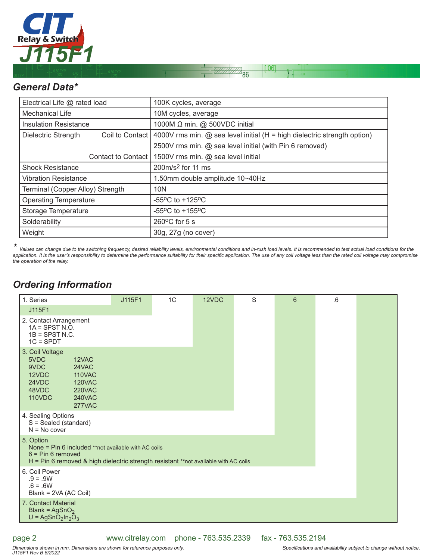

## *General Data\**

| Electrical Life @ rated load                    | 100K cycles, average                                                     |  |  |  |
|-------------------------------------------------|--------------------------------------------------------------------------|--|--|--|
| <b>Mechanical Life</b>                          | 10M cycles, average                                                      |  |  |  |
| <b>Insulation Resistance</b>                    | 1000M $\Omega$ min. @ 500VDC initial                                     |  |  |  |
| Coil to Contact  <br><b>Dielectric Strength</b> | 4000V rms min. @ sea level initial (H = high dielectric strength option) |  |  |  |
|                                                 | 2500V rms min. @ sea level initial (with Pin 6 removed)                  |  |  |  |
| Contact to Contact I                            | 1500V rms min. @ sea level initial                                       |  |  |  |
| <b>Shock Resistance</b>                         | 200m/s <sup>2</sup> for 11 ms                                            |  |  |  |
| <b>Vibration Resistance</b>                     | 1.50mm double amplitude 10~40Hz                                          |  |  |  |
| Terminal (Copper Alloy) Strength                | 10N                                                                      |  |  |  |
| <b>Operating Temperature</b>                    | $-55^{\circ}$ C to $+125^{\circ}$ C                                      |  |  |  |
| Storage Temperature                             | $-55^{\circ}$ C to $+155^{\circ}$ C                                      |  |  |  |
| Solderability                                   | $260^{\circ}$ C for 5 s                                                  |  |  |  |
| Weight                                          | 30g, 27g (no cover)                                                      |  |  |  |

 $0.06$ 

 $\overline{86}$ 

*\* Values can change due to the switching frequency, desired reliability levels, environmental conditions and in-rush load levels. It is recommended to test actual load conditions for the*  application. It is the user's responsibility to determine the performance suitability for their specific application. The use of any coil voltage less than the rated coil voltage may compromise *the operation of the relay.*

## *Ordering Information*

| 1. Series                                                                                                                                                                       | J115F1 | 1C | 12VDC | S | 6 | .6 |  |
|---------------------------------------------------------------------------------------------------------------------------------------------------------------------------------|--------|----|-------|---|---|----|--|
| J115F1                                                                                                                                                                          |        |    |       |   |   |    |  |
| 2. Contact Arrangement<br>$1A =$ SPST N.O.<br>$1B =$ SPST N.C.<br>$1C = SPDT$                                                                                                   |        |    |       |   |   |    |  |
| 3. Coil Voltage<br>5VDC<br>12VAC<br>9VDC<br>24VAC<br>12VDC<br><b>110VAC</b><br>24VDC<br><b>120VAC</b><br>48VDC<br><b>220VAC</b><br><b>110VDC</b><br><b>240VAC</b><br>277VAC     |        |    |       |   |   |    |  |
| 4. Sealing Options<br>S = Sealed (standard)<br>$N = No cover$                                                                                                                   |        |    |       |   |   |    |  |
| 5. Option<br>None = Pin 6 included **not available with AC coils<br>$6 = Pin 6$ removed<br>H = Pin 6 removed & high dielectric strength resistant **not available with AC coils |        |    |       |   |   |    |  |
| 6. Coil Power<br>$.9 = .9W$<br>$.6 = .6W$<br>Blank = 2VA (AC Coil)                                                                                                              |        |    |       |   |   |    |  |
| 7. Contact Material<br>Blank = $AgSnO2$<br>$U = AgSnO2ln2O3$                                                                                                                    |        |    |       |   |   |    |  |

page 2

www.citrelay.com phone - 763.535.2339 fax - 763.535.2194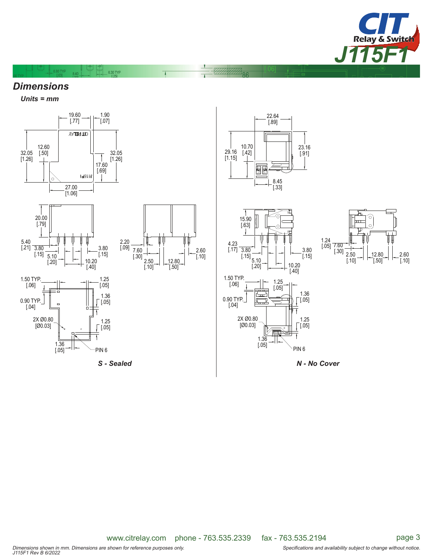

### *Dimensions*

 $0.80$  TYP 8.40

 $-6.30$  TYP

*Units = mm*